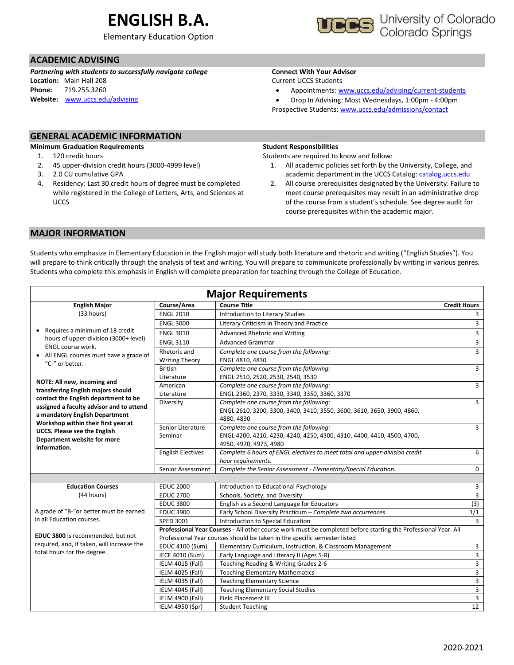# **ENGLISH B.A.**

Elementary Education Option



### **ACADEMIC ADVISING**

*Partnering with students to successfully navigate college* **Location:** Main Hall 208 **Phone:** 719.255.3260 **Website:** [www.uccs.edu/advising](http://www.uccs.edu/advising)

## **Connect With Your Advisor**

Current UCCS Students

- Appointments: [www.uccs.edu/advising/current-students](http://www.uccs.edu/advising/current-students)
- Drop In Advising: Most Wednesdays, 1:00pm 4:00pm Prospective Students: [www.uccs.edu/admissions/contact](http://www.uccs.edu/admissions/contact)

### **GENERAL ACADEMIC INFORMATION**

#### **Minimum Graduation Requirements**

- 1. 120 credit hours
- 2. 45 upper-division credit hours (3000-4999 level)
- 3. 2.0 CU cumulative GPA
- 4. Residency: Last 30 credit hours of degree must be completed while registered in the College of Letters, Arts, and Sciences at **UCCS**

#### **Student Responsibilities**

Students are required to know and follow:

- 1. All academic policies set forth by the University, College, and academic department in the UCCS Catalog[: catalog.uccs.edu](file://///columbia/dept/Success/Advising%20Guides/197%20Advising%20Guides/catalog.uccs.edu)
- 2. All course prerequisites designated by the University. Failure to meet course prerequisites may result in an administrative drop of the course from a student's schedule. See degree audit for course prerequisites within the academic major.

#### **MAJOR INFORMATION**

Students who emphasize in Elementary Education in the English major will study both literature and rhetoric and writing ("English Studies"). You will prepare to think critically through the analysis of text and writing. You will prepare to communicate professionally by writing in various genres. Students who complete this emphasis in English will complete preparation for teaching through the College of Education.

| <b>Major Requirements</b>                                          |                                                                                                                |                                                                                                                                          |                         |  |  |  |  |
|--------------------------------------------------------------------|----------------------------------------------------------------------------------------------------------------|------------------------------------------------------------------------------------------------------------------------------------------|-------------------------|--|--|--|--|
| <b>English Major</b>                                               | Course/Area                                                                                                    | <b>Course Title</b>                                                                                                                      | <b>Credit Hours</b>     |  |  |  |  |
| (33 hours)                                                         | <b>ENGL 2010</b>                                                                                               | Introduction to Literary Studies                                                                                                         | 3                       |  |  |  |  |
|                                                                    | <b>ENGL 3000</b>                                                                                               | Literary Criticism in Theory and Practice                                                                                                | 3                       |  |  |  |  |
| • Requires a minimum of 18 credit                                  | <b>ENGL 3010</b>                                                                                               | Advanced Rhetoric and Writing                                                                                                            | 3                       |  |  |  |  |
| hours of upper-division (3000+ level)                              | <b>ENGL 3110</b>                                                                                               | <b>Advanced Grammar</b>                                                                                                                  | 3                       |  |  |  |  |
| <b>ENGL course work.</b>                                           | Rhetoric and                                                                                                   | Complete one course from the following:                                                                                                  | 3                       |  |  |  |  |
| • All ENGL courses must have a grade of<br>"C-" or better.         | <b>Writing Theory</b>                                                                                          | ENGL 4810, 4830                                                                                                                          |                         |  |  |  |  |
|                                                                    | <b>British</b>                                                                                                 | Complete one course from the following:                                                                                                  |                         |  |  |  |  |
| NOTE: All new, incoming and                                        | Literature                                                                                                     | ENGL 2510, 2520, 2530, 2540, 3530                                                                                                        |                         |  |  |  |  |
| transferring English majors should                                 | American                                                                                                       | Complete one course from the following:                                                                                                  |                         |  |  |  |  |
| contact the English department to be                               | Literature                                                                                                     | ENGL 2360, 2370, 3330, 3340, 3350, 3360, 3370                                                                                            |                         |  |  |  |  |
| assigned a faculty advisor and to attend                           | Diversity                                                                                                      | Complete one course from the following:<br>ENGL 2610, 3200, 3300, 3400, 3410, 3550, 3600, 3610, 3650, 3900, 4860,                        | 3                       |  |  |  |  |
| a mandatory English Department                                     |                                                                                                                | 4880, 4890                                                                                                                               |                         |  |  |  |  |
| Workshop within their first year at                                | Senior Literature                                                                                              | Complete one course from the following:                                                                                                  | 3                       |  |  |  |  |
| <b>UCCS. Please see the English</b><br>Department website for more | Seminar                                                                                                        | ENGL 4200, 4210, 4230, 4240, 4250, 4300, 4310, 4400, 4410, 4500, 4700,                                                                   |                         |  |  |  |  |
| information.                                                       |                                                                                                                | 4950, 4970, 4973, 4980                                                                                                                   |                         |  |  |  |  |
|                                                                    | <b>English Electives</b>                                                                                       | Complete 6 hours of ENGL electives to meet total and upper-division credit                                                               | 6                       |  |  |  |  |
|                                                                    |                                                                                                                | hour requirements.                                                                                                                       |                         |  |  |  |  |
|                                                                    | Senior Assessment                                                                                              | Complete the Senior Assessment - Elementary/Special Education.                                                                           | 0                       |  |  |  |  |
|                                                                    |                                                                                                                |                                                                                                                                          |                         |  |  |  |  |
| <b>Education Courses</b>                                           | <b>EDUC 2000</b>                                                                                               | Introduction to Educational Psychology                                                                                                   | 3                       |  |  |  |  |
| (44 hours)                                                         | <b>EDUC 2700</b>                                                                                               | Schools, Society, and Diversity                                                                                                          | $\overline{\mathbf{3}}$ |  |  |  |  |
|                                                                    | <b>EDUC 3800</b>                                                                                               | English as a Second Language for Educators                                                                                               | (3)                     |  |  |  |  |
| A grade of "B-"or better must be earned                            | <b>EDUC 3900</b>                                                                                               | Early School Diversity Practicum - Complete two occurrences                                                                              | 1/1                     |  |  |  |  |
| in all Education courses.                                          | SPED 3001                                                                                                      | Introduction to Special Education                                                                                                        | 3                       |  |  |  |  |
| EDUC 3800 is recommended, but not                                  | Professional Year Courses - All other course work must be completed before starting the Professional Year. All |                                                                                                                                          |                         |  |  |  |  |
| required, and, if taken, will increase the                         |                                                                                                                | Professional Year courses should be taken in the specific semester listed                                                                |                         |  |  |  |  |
| total hours for the degree.                                        | EDUC 4100 (Sum)                                                                                                | Elementary Curriculum, Instruction, & Classroom Management                                                                               | 3                       |  |  |  |  |
|                                                                    | IECE 4010 (Sum)<br>IELM 4015 (Fall)                                                                            | Early Language and Literacy II (Ages 5-8)                                                                                                | 3<br>3                  |  |  |  |  |
|                                                                    | IELM 4025 (Fall)                                                                                               | Teaching Reading & Writing Grades 2-6<br><b>Teaching Elementary Mathematics</b>                                                          | 3                       |  |  |  |  |
|                                                                    |                                                                                                                |                                                                                                                                          |                         |  |  |  |  |
|                                                                    |                                                                                                                |                                                                                                                                          |                         |  |  |  |  |
|                                                                    |                                                                                                                |                                                                                                                                          |                         |  |  |  |  |
|                                                                    |                                                                                                                |                                                                                                                                          |                         |  |  |  |  |
|                                                                    | IELM 4035 (Fall)<br>IELM 4045 (Fall)<br>IELM 4900 (Fall)<br>IELM 4950 (Spr)                                    | <b>Teaching Elementary Science</b><br><b>Teaching Elementary Social Studies</b><br><b>Field Placement III</b><br><b>Student Teaching</b> | 3<br>3<br>3<br>12       |  |  |  |  |